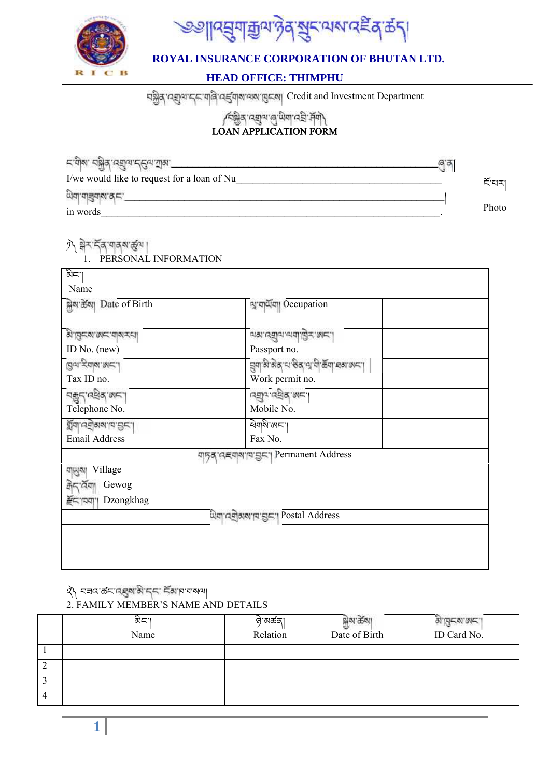



### **HEAD OFFICE: THIMPHU**

Ending and Investment Department

**LOAN APPLICATION FORM**

| ⊏.त्र]ळ. <i>चे</i> ञ्जैर्थ.उञ्चीज.टर्टिज.प्रीक्र. | G. |       |
|---------------------------------------------------|----|-------|
| I/we would like to request for a loan of Nu       |    | হঁ'ঘম |
| लुवा वांडीवांबा थे स्                             |    |       |
| in words                                          |    | Photo |

## 外 ন্নিমাৰ্দ্বৰ আৰু না

PERSONAL INFORMATION

| ਕੇ≍"                                 |                                                                 |
|--------------------------------------|-----------------------------------------------------------------|
| Name                                 |                                                                 |
| क्षेत्र केला Date of Birth           | ন্ম'নাৰ্এনো Occupation                                          |
| ανητικαν αντιστια                    | ज्ञा:जघीज.जब्री.ड्रि $\pm$ .ख $\pm$ .                           |
| ID No. (new)                         | Passport no.                                                    |
| التعامية المائية المقا<br>Tax ID no. | झुवा अञ्चल पा छेत्र त्यावी क्रूवा बत्रा अमा।<br>Work permit no. |
| קיבן ושל אבין                        | ו שְׂמָּה הַעֲּבַי                                              |
| Telephone No.                        | Mobile No.                                                      |
| पूर्वा उनुवारा । इत्या               | ৰ্থযামণ্ডানা                                                    |
| <b>Email Address</b>                 | Fax No.                                                         |
|                                      | णानुवादस्याबाह्यानुबन्धा Permanent Address                      |
| Village<br>গ্ৰাম্যৰা                 |                                                                 |
| ক্ৰন বেমা<br>Gewog                   |                                                                 |
| Dzongkhag<br>$E =  E/dt $            |                                                                 |
|                                      | অিনা'নেন্স্রিমম'ন'ম্ভন'। Postal Address                         |
|                                      |                                                                 |
|                                      |                                                                 |
|                                      |                                                                 |

# २) मनव कर नहर में मंदर इंग्लाया

#### 2.FAMILY MEMBER'S NAME AND DETAILS

|                 | 하다"<br>Name | ন্ত'মস্ক্ৰম।<br>Relation | . యో<br>Date of Birth | <b>SI'DESI'SE'I</b><br>ID Card No. |
|-----------------|-------------|--------------------------|-----------------------|------------------------------------|
|                 |             |                          |                       |                                    |
| $\sqrt{2}$<br>∠ |             |                          |                       |                                    |
| J               |             |                          |                       |                                    |
| 4               |             |                          |                       |                                    |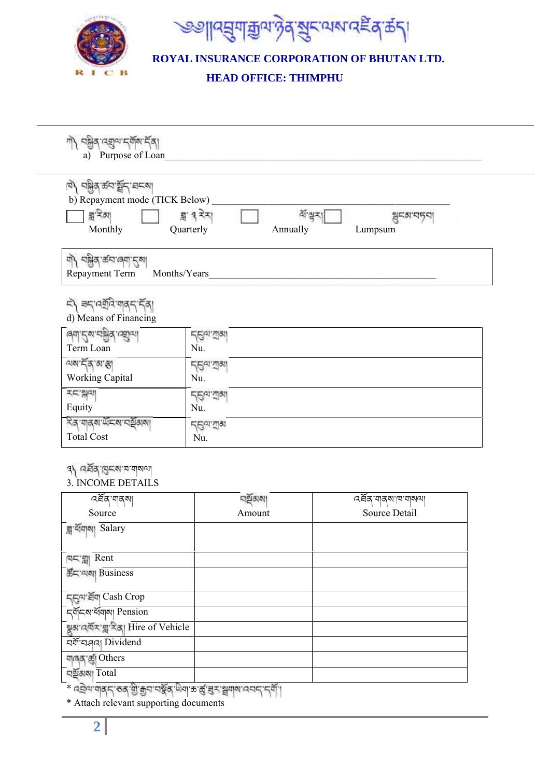



# **HEAD OFFICE: THIMPHU**

| নষ্ট্ৰৰ নেন্দ্ৰুন নৰ্বান নৰা<br>गो                           |                                      |                            |  |
|--------------------------------------------------------------|--------------------------------------|----------------------------|--|
| a) Purpose of Loan                                           |                                      |                            |  |
| ष/ वश्वेष क्यार्थ्वन वन्या<br>b) Repayment mode (TICK Below) |                                      |                            |  |
| ন্ন' <sup>ই</sup> ন্সা<br>Monthly                            | ह्य १ रेन्∣<br>Quarterly<br>Annually | 작량지<br>월드러' 디닷지<br>Lumpsum |  |
| बो/ चक्केब क्ट्य ख्वा रीबा<br>Repayment Term<br>Months/Years |                                      |                            |  |
| ८/ बर्दाउनुतिःबाबर्दार्दव।<br>d) Means of Financing          |                                      |                            |  |
| dal. Zarciago utilial                                        | न्हित्य राज्य                        |                            |  |
| Term Loan                                                    | Nu.                                  |                            |  |
| অম'ৰ্ট্ক'ম'ক্তা                                              | र्टलाजन्ना                           |                            |  |
| Working Capital                                              | Nu.                                  |                            |  |
| 지도 돼지                                                        | र्टलाजन्न                            |                            |  |
| Equity                                                       | Nu.                                  |                            |  |
| לא ישרא קובמי הצפימון                                        | <b>Д</b> ел. йя                      |                            |  |
| <b>Total Cost</b>                                            | Nu.                                  |                            |  |
| d/ GER/BEU. La dadi<br><b>3. INCOME DETAILS</b>              |                                      |                            |  |
| নৰ্ষৰ শাৰ্ম                                                  | নহাঁতামা                             | নৰ্ষৰ বাৰ্মান বাৰ্মনা      |  |
| Source                                                       | Amount                               | Source Detail              |  |
| ব্লু র্যবানা Salary                                          |                                      |                            |  |
| <b>RE'all</b> Rent                                           |                                      |                            |  |
| <b>हैं⊏'बाबा Business</b>                                    |                                      |                            |  |
| ন্ত্ৰুণ ৰ্ষৰ Cash Crop                                       |                                      |                            |  |
| <b><i>ব্</i>ৰ্মী</b> কা ধ্যানী Pension                       |                                      |                            |  |
| बुबावर्षेर ब्रुदिवा Hire of Vehicle<br>বর্ষা ব্যবন। Dividend |                                      |                            |  |
| बाबद ह्या Others                                             |                                      |                            |  |
| ঘৰ্ষ্টৰূমা Total                                             |                                      |                            |  |
|                                                              |                                      |                            |  |

\* वड़ोवाणवह्रा उद्ध हो क्रुवाचक्रॅब् सेवा कार्द्ध इन भ्रूवाबावच्हा हवीं।<br>\* Attach relevant supporting documents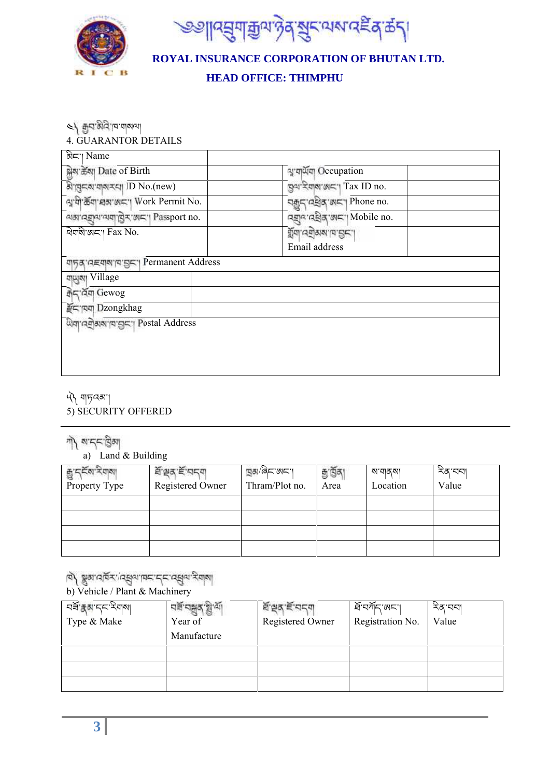



# **HEAD OFFICE: THIMPHU**

८/ थिनःभुषु .la.alaval

4. GUARANTOR DETAILS

| <b>ৰী</b> ন'। Name<br><u>क्ल</u> ेब्स Date of Birth                                                                   | बु'बार्थेबा Occupation                 |
|-----------------------------------------------------------------------------------------------------------------------|----------------------------------------|
| बे बुद्दूब बाबर है। ID No.(new)                                                                                       | ন্নুঝ'ইয়াম'নে'। Tax ID no.            |
| মু'দী'ৰ্ক্ৰদা'দ্ৰম'ঙ্গমন'। Work Permit No.                                                                            | নক্কুন'নইৰ'জন' Phone no.               |
| <u>asside and light and set of the set of the set of the set of the set of the set of the set of the set of the s</u> | নহ্ৰান নহীৰ জন। Mobile no.             |
| ৰ্থবাৰী'নে'। Fax No.                                                                                                  | पूँचा उनुक्रवान थिया।<br>Email address |
| णानुब्'तह्याबाद्याङ्गा Permanent Address                                                                              |                                        |
| यासुबा Village                                                                                                        |                                        |
| ক্ৰিন'ৰ্ব্ৰত্ম Gewog                                                                                                  |                                        |
| सन्दायया Dzongkhag                                                                                                    |                                        |
| অিনা'ন নীজৰা'ন' দ্ৰাভা" Postal Address                                                                                |                                        |
|                                                                                                                       |                                        |
|                                                                                                                       |                                        |

༥༽ གཏའམ་།

- 5) SECURITY OFFERED
- শী মান্নাট্টিমা

a) Land & Building

| g den sala<br>Property Type | ই'শ্ৰুত্ৰ'ৰ্ছ'ন্নন্ন<br><b>Registered Owner</b> | <sub>뙤</sub> ब्ब्रा/बेट लट।<br>Thram/Plot no. | ন্তু হ্ৰিব<br>Area | ম'শৰমা<br>Location | নৱ'ববা<br>Value |
|-----------------------------|-------------------------------------------------|-----------------------------------------------|--------------------|--------------------|-----------------|
|                             |                                                 |                                               |                    |                    |                 |
|                             |                                                 |                                               |                    |                    |                 |
|                             |                                                 |                                               |                    |                    |                 |
|                             |                                                 |                                               |                    |                    |                 |

ager.

# b) Vehicle / Plant & Machinery

| ঘৰ্ষ <del>হ</del> ম দ্ৰু মিলা<br>Type & Make | Year of     | <b>ਏ'ਭਰ' ਵੱ'</b> 'ਚ ਰ<br>Registered Owner | ৰ্ষণমানজনে<br>Registration No. | নৱ'ববা<br>Value |
|----------------------------------------------|-------------|-------------------------------------------|--------------------------------|-----------------|
|                                              | Manufacture |                                           |                                |                 |
|                                              |             |                                           |                                |                 |
|                                              |             |                                           |                                |                 |
|                                              |             |                                           |                                |                 |